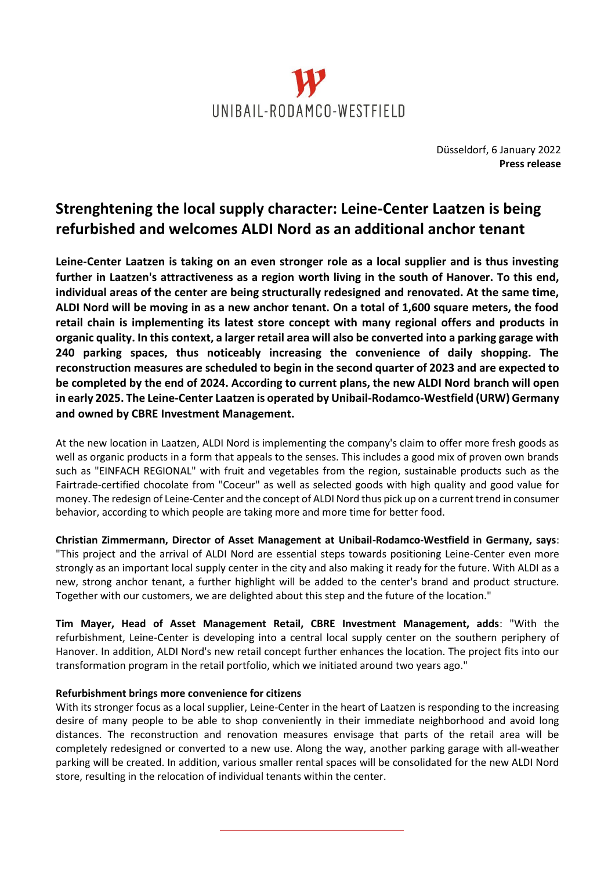

Düsseldorf, 6 January 2022 **Press release**

# **Strenghtening the local supply character: Leine-Center Laatzen is being refurbished and welcomes ALDI Nord as an additional anchor tenant**

**Leine-Center Laatzen is taking on an even stronger role as a local supplier and is thus investing further in Laatzen's attractiveness as a region worth living in the south of Hanover. To this end, individual areas of the center are being structurally redesigned and renovated. At the same time, ALDI Nord will be moving in as a new anchor tenant. On a total of 1,600 square meters, the food retail chain is implementing its latest store concept with many regional offers and products in organic quality. In this context, a larger retail area will also be converted into a parking garage with 240 parking spaces, thus noticeably increasing the convenience of daily shopping. The reconstruction measures are scheduled to begin in the second quarter of 2023 and are expected to be completed by the end of 2024. According to current plans, the new ALDI Nord branch will open in early 2025. The Leine-Center Laatzen is operated by Unibail-Rodamco-Westfield (URW) Germany and owned by CBRE Investment Management.**

At the new location in Laatzen, ALDI Nord is implementing the company's claim to offer more fresh goods as well as organic products in a form that appeals to the senses. This includes a good mix of proven own brands such as "EINFACH REGIONAL" with fruit and vegetables from the region, sustainable products such as the Fairtrade-certified chocolate from "Coceur" as well as selected goods with high quality and good value for money. The redesign of Leine-Center and the concept of ALDI Nord thus pick up on a current trend in consumer behavior, according to which people are taking more and more time for better food.

**Christian Zimmermann, Director of Asset Management at Unibail-Rodamco-Westfield in Germany, says**: "This project and the arrival of ALDI Nord are essential steps towards positioning Leine-Center even more strongly as an important local supply center in the city and also making it ready for the future. With ALDI as a new, strong anchor tenant, a further highlight will be added to the center's brand and product structure. Together with our customers, we are delighted about this step and the future of the location."

**Tim Mayer, Head of Asset Management Retail, CBRE Investment Management, adds**: "With the refurbishment, Leine-Center is developing into a central local supply center on the southern periphery of Hanover. In addition, ALDI Nord's new retail concept further enhances the location. The project fits into our transformation program in the retail portfolio, which we initiated around two years ago."

## **Refurbishment brings more convenience for citizens**

With its stronger focus as a local supplier, Leine-Center in the heart of Laatzen is responding to the increasing desire of many people to be able to shop conveniently in their immediate neighborhood and avoid long distances. The reconstruction and renovation measures envisage that parts of the retail area will be completely redesigned or converted to a new use. Along the way, another parking garage with all-weather parking will be created. In addition, various smaller rental spaces will be consolidated for the new ALDI Nord store, resulting in the relocation of individual tenants within the center.